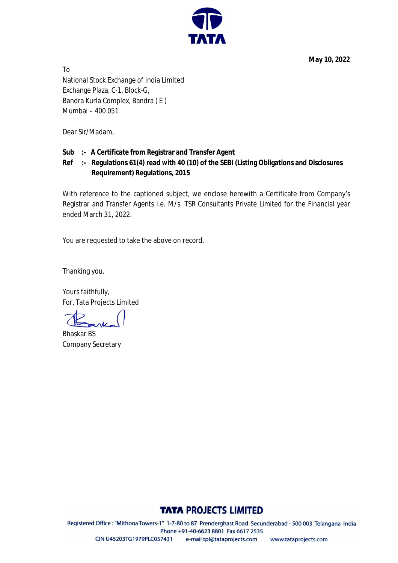**May 10, 2022**



To National Stock Exchange of India Limited Exchange Plaza, C-1, Block-G, Bandra Kurla Complex, Bandra ( E ) Mumbai – 400 051

Dear Sir/Madam,

## **Sub :- A Certificate from Registrar and Transfer Agent**

# **Ref :- Regulations 61(4) read with 40 (10) of the SEBI (Listing Obligations and Disclosures Requirement) Regulations, 2015**

With reference to the captioned subject, we enclose herewith a Certificate from Company's Registrar and Transfer Agents i.e. M/s. TSR Consultants Private Limited for the Financial year ended March 31, 2022.

You are requested to take the above on record.

Thanking you.

Yours faithfully, For, Tata Projects Limited

Bhaskar BS Company Secretary

# **TATA PROJECTS LIMITED**

Registered Office: "Mithona Towers-1" 1-7-80 to 87 Prenderghast Road Secunderabad - 500 003 Telangana India Phone +91-40-6623 8801 Fax 6617 2535 CIN U45203TG1979PLC057431 e-mail tpl@tataprojects.com www.tataprojects.com